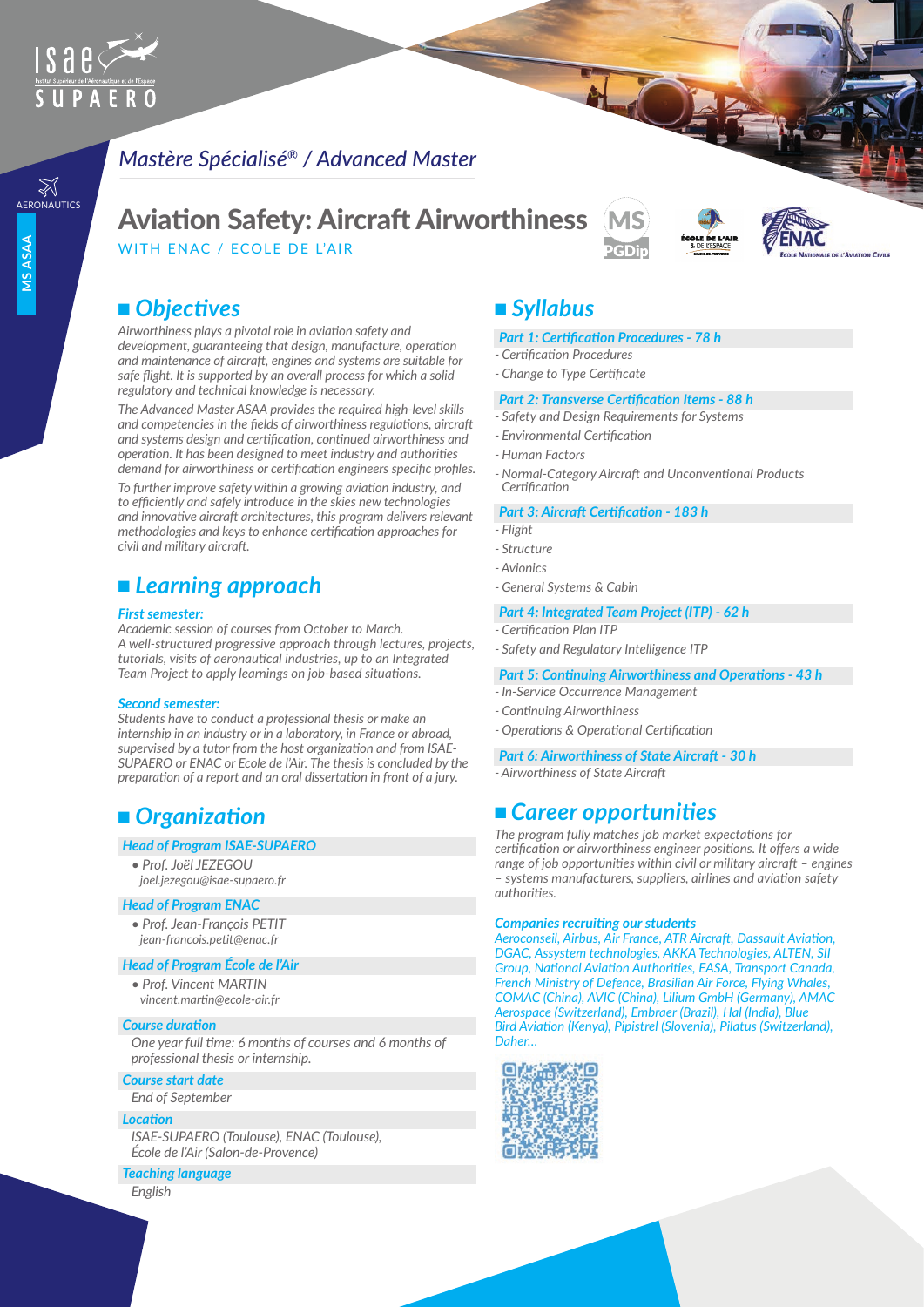

# *Mastère Spécialisé® / Advanced Master*

# AERONAUTICS AViation Safety: Aircraft Airworthiness

WITH ENAC / ECOLE DE L'AIR

## ■ Objectives

*Airworthiness plays a pivotal role in aviation safety and development, guaranteeing that design, manufacture, operation and maintenance of aircraft, engines and systems are suitable for safe flight. It is supported by an overall process for which a solid regulatory and technical knowledge is necessary.*

*The Advanced Master ASAA provides the required high-level skills and competencies in the fields of airworthiness regulations, aircraft and systems design and certification, continued airworthiness and operation. It has been designed to meet industry and authorities demand for airworthiness or certification engineers specific profiles.*

*To further improve safety within a growing aviation industry, and to efficiently and safely introduce in the skies new technologies and innovative aircraft architectures, this program delivers relevant methodologies and keys to enhance certification approaches for civil and military aircraft.*

# <sup>n</sup> *Learning approach*

#### *First semester:*

*Academic session of courses from October to March. A well-structured progressive approach through lectures, projects, tutorials, visits of aeronautical industries, up to an Integrated Team Project to apply learnings on job-based situations.*

#### *Second semester:*

*Students have to conduct a professional thesis or make an internship in an industry or in a laboratory, in France or abroad, supervised by a tutor from the host organization and from ISAE-SUPAERO or ENAC or Ecole de l'Air. The thesis is concluded by the preparation of a report and an oral dissertation in front of a jury.*

# ■ Organization

#### *Head of Program ISAE-SUPAERO*

*• Prof. Joël JEZEGOU joel.jezegou@isae-supaero.fr*

#### *Head of Program ENAC*

*• Prof. Jean-François PETIT jean-francois.petit@enac.fr*

#### *Head of Program École de l'Air*

*• Prof. Vincent MARTIN vincent.martin@ecole-air.fr* 

#### *Course duration*

*One year full time: 6 months of courses and 6 months of professional thesis or internship.*

#### *Course start date*

*End of September*

#### *Location*

*ISAE-SUPAERO (Toulouse), ENAC (Toulouse), École de l'Air (Salon-de-Provence)*

#### *Teaching language*

*English*

# <sup>n</sup> *Syllabus*

#### *Part 1: Certification Procedures - 78 h*

H

- *Certification Procedures*
- *Change to Type Certificate*

#### *Part 2: Transverse Certification Items - 88 h*

- *Safety and Design Requirements for Systems*
- *Environmental Certification*
- *Human Factors*
- *Normal-Category Aircraft and Unconventional Products Certification*

**EL'AVIATION CIVILE** 

#### *Part 3: Aircraft Certification - 183 h*

- *Flight*
- *Structure*
- *Avionics*
- *General Systems & Cabin*

#### *Part 4: Integrated Team Project (ITP) - 62 h*

- *Certification Plan ITP*
- *Safety and Regulatory Intelligence ITP*

#### *Part 5: Continuing Airworthiness and Operations - 43 h*

- *In-Service Occurrence Management*
- *Continuing Airworthiness*
- *Operations & Operational Certification*

#### *Part 6: Airworthiness of State Aircraft - 30 h*

*- Airworthiness of State Aircraft* 

### ■ Career opportunities

*The program fully matches job market expectations for certification or airworthiness engineer positions. It offers a wide range of job opportunities within civil or military aircraft – engines – systems manufacturers, suppliers, airlines and aviation safety authorities.*

#### *Companies recruiting our students*

*Aeroconseil, Airbus, Air France, ATR Aircraft, Dassault Aviation, DGAC, Assystem technologies, AKKA Technologies, ALTEN, SII Group, National Aviation Authorities, EASA, Transport Canada, French Ministry of Defence, Brasilian Air Force, Flying Whales, COMAC (China), AVIC (China), Lilium GmbH (Germany), AMAC Aerospace (Switzerland), Embraer (Brazil), Hal (India), Blue Bird Aviation (Kenya), Pipistrel (Slovenia), Pilatus (Switzerland), Daher…*

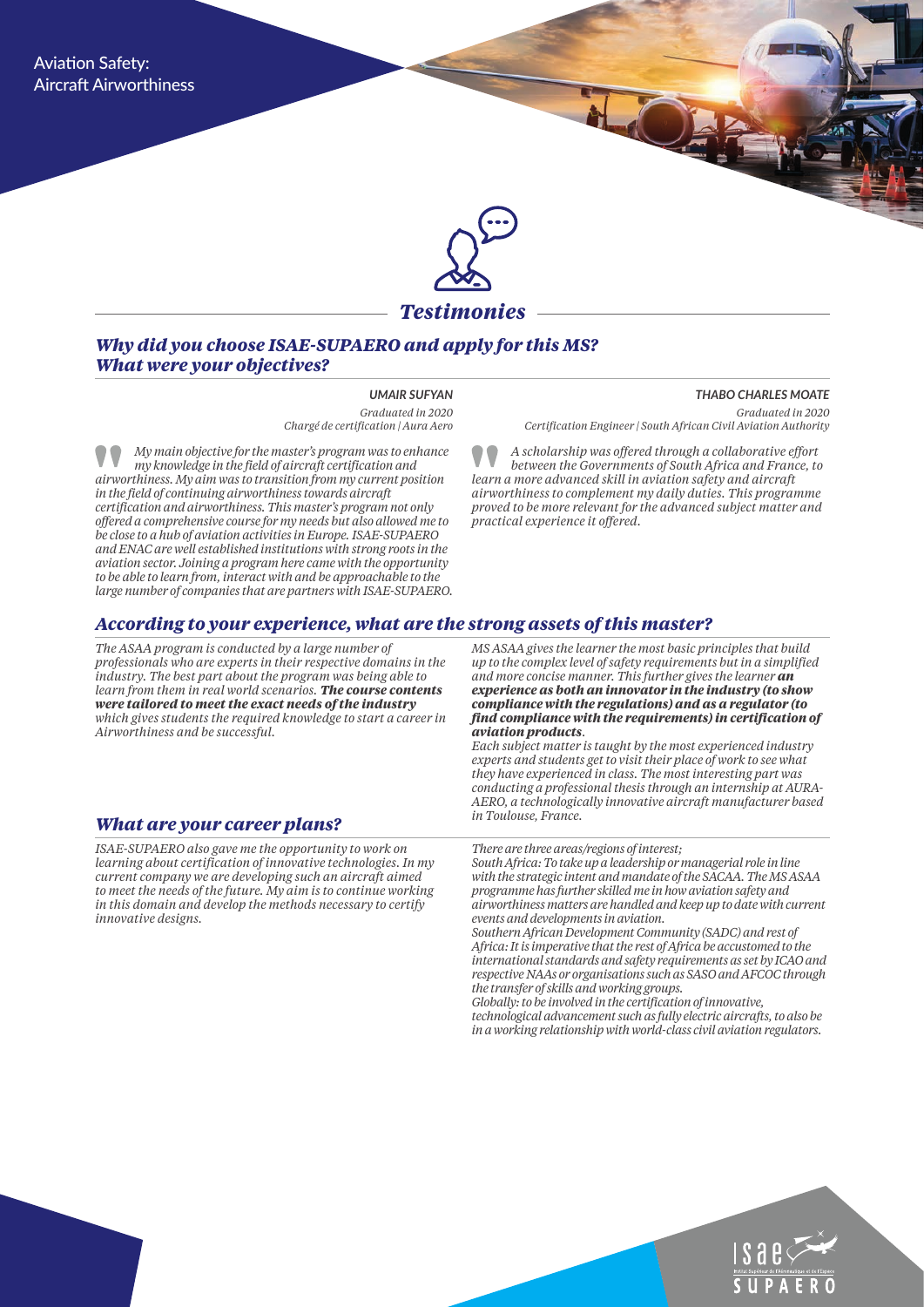

#### *Why did you choose ISAE-SUPAERO and apply for this MS? What were your objectives?*

#### *UMAIR SUFYAN*

*Graduated in 2020 Chargé de certification | Aura Aero* 

*My main objective for the master's program was to enhance my knowledge in the field of aircraft certification and airworthiness. My aim was to transition from my current position in the field of continuing airworthiness towards aircraft certification and airworthiness. This master's program not only offered a comprehensive course for my needs but also allowed me to be close to a hub of aviation activities in Europe. ISAE-SUPAERO and ENAC are well established institutions with strong roots in the aviation sector. Joining a program here came with the opportunity to be able to learn from, interact with and be approachable to the large number of companies that are partners with ISAE-SUPAERO.*

*THABO CHARLES MOATE Graduated in 2020 Certification Engineer | South African Civil Aviation Authority*

*A scholarship was offered through a collaborative effort between the Governments of South Africa and France, to learn a more advanced skill in aviation safety and aircraft airworthiness to complement my daily duties. This programme proved to be more relevant for the advanced subject matter and practical experience it offered.* 

#### *According to your experience, what are the strong assets of this master?*

*The ASAA program is conducted by a large number of professionals who are experts in their respective domains in the industry. The best part about the program was being able to learn from them in real world scenarios. The course contents were tailored to meet the exact needs of the industry which gives students the required knowledge to start a career in Airworthiness and be successful.* 

#### *What are your career plans?*

*ISAE-SUPAERO also gave me the opportunity to work on learning about certification of innovative technologies. In my current company we are developing such an aircraft aimed to meet the needs of the future. My aim is to continue working in this domain and develop the methods necessary to certify innovative designs.*

*MS ASAA gives the learner the most basic principles that build up to the complex level of safety requirements but in a simplified and more concise manner. This further gives the learner an experience as both an innovator in the industry (to show compliance with the regulations) and as a regulator (to find compliance with the requirements) in certification of aviation products.* 

*Each subject matter is taught by the most experienced industry experts and students get to visit their place of work to see what they have experienced in class. The most interesting part was conducting a professional thesis through an internship at AURA-AERO, a technologically innovative aircraft manufacturer based in Toulouse, France.* 

#### *There are three areas/regions of interest;*

*South Africa: To take up a leadership or managerial role in line with the strategic intent and mandate of the SACAA. The MS ASAA programme has further skilled me in how aviation safety and airworthiness matters are handled and keep up to date with current events and developments in aviation.* 

*Southern African Development Community (SADC) and rest of Africa: It is imperative that the rest of Africa be accustomed to the international standards and safety requirements as set by ICAO and respective NAAs or organisations such as SASO and AFCOC through the transfer of skills and working groups.* 

*Globally: to be involved in the certification of innovative, technological advancement such as fully electric aircrafts, to also be in a working relationship with world-class civil aviation regulators.*